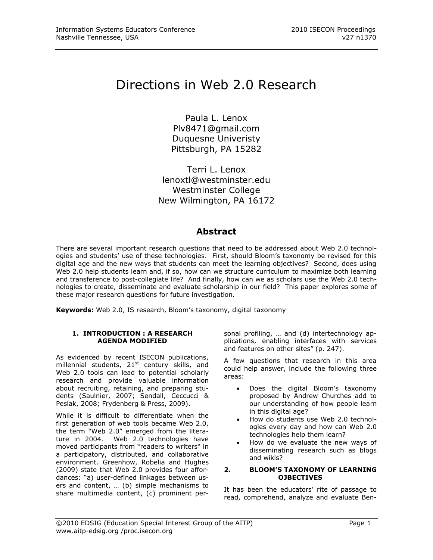# Directions in Web 2.0 Research

Paula L. Lenox [Plv8471@gmail.com](mailto:Plv8471@gmail.com) Duquesne Univeristy Pittsburgh, PA 15282

Terri L. Lenox [lenoxtl@westminster.edu](mailto:lenoxtl@westminster.edu) Westminster College New Wilmington, PA 16172

### **Abstract**

There are several important research questions that need to be addressed about Web 2.0 technologies and students' use of these technologies. First, should Bloom's taxonomy be revised for this digital age and the new ways that students can meet the learning objectives? Second, does using Web 2.0 help students learn and, if so, how can we structure curriculum to maximize both learning and transference to post-collegiate life? And finally, how can we as scholars use the Web 2.0 technologies to create, disseminate and evaluate scholarship in our field? This paper explores some of these major research questions for future investigation.

**Keywords:** Web 2.0, IS research, Bloom's taxonomy, digital taxonomy

#### **1. INTRODUCTION : A RESEARCH AGENDA MODIFIED**

As evidenced by recent ISECON publications, millennial students,  $21<sup>st</sup>$  century skills, and Web 2.0 tools can lead to potential scholarly research and provide valuable information about recruiting, retaining, and preparing students (Saulnier, 2007; Sendall, Ceccucci & Peslak, 2008; Frydenberg & Press, 2009).

While it is difficult to differentiate when the first generation of web tools became Web 2.0, the term "Web 2.0" emerged from the literature in 2004. Web 2.0 technologies have moved participants from "readers to writers" in a participatory, distributed, and collaborative environment. Greenhow, Robelia and Hughes (2009) state that Web 2.0 provides four affordances: "a) user-defined linkages between users and content, … (b) simple mechanisms to share multimedia content, (c) prominent personal profiling, … and (d) intertechnology applications, enabling interfaces with services and features on other sites" (p. 247).

A few questions that research in this area could help answer, include the following three areas:

- Does the digital Bloom's taxonomy proposed by Andrew Churches add to our understanding of how people learn in this digital age?
- How do students use Web 2.0 technologies every day and how can Web 2.0 technologies help them learn?
- How do we evaluate the new ways of disseminating research such as blogs and wikis?

#### **2. BLOOM'S TAXONOMY OF LEARNING OJBECTIVES**

It has been the educators' rite of passage to read, comprehend, analyze and evaluate Ben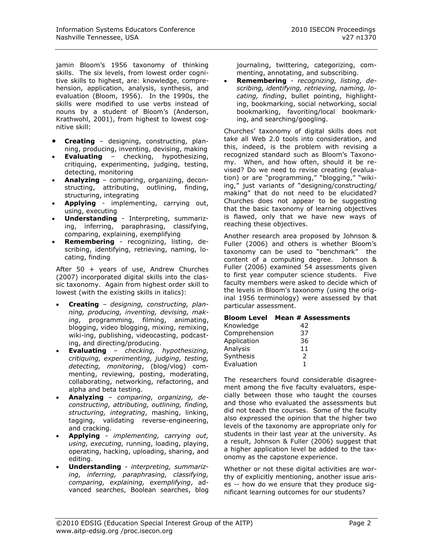jamin Bloom's 1956 taxonomy of thinking skills. The six levels, from lowest order cognitive skills to highest, are: knowledge, comprehension, application, analysis, synthesis, and evaluation (Bloom, 1956). In the 1990s, the skills were modified to use verbs instead of nouns by a student of Bloom's (Anderson, Krathwohl, 2001), from highest to lowest cognitive skill:

- **Creating** designing, constructing, planning, producing, inventing, devising, making
- **Evaluating** checking, hypothesizing, critiquing, experimenting, judging, testing, detecting, monitoring
- **Analyzing** comparing, organizing, deconstructing, attributing, outlining, finding, structuring, integrating
- **Applying** implementing, carrying out, using, executing
- **Understanding** Interpreting, summarizing, inferring, paraphrasing, classifying, comparing, explaining, exemplifying
- **Remembering** recognizing, listing, describing, identifying, retrieving, naming, locating, finding

After 50 + years of use, Andrew Churches (2007) incorporated digital skills into the classic taxonomy. Again from highest order skill to lowest (with the existing skills in italics):

- **Creating** *designing, constructing, planning, producing, inventing, devising, making*, programming, filming, animating, blogging, video blogging, mixing, remixing, wiki-ing, publishing, videocasting, podcasting, and directing/producing.
- **Evaluating** *checking, hypothesizing, critiquing, experimenting, judging, testing, detecting, monitoring*, (blog/vlog) commenting, reviewing, posting, moderating, collaborating, networking, refactoring, and alpha and beta testing.
- **Analyzing** *comparing, organizing, deconstructing, attributing, outlining, finding, structuring, integrating*, mashing, linking, tagging, validating reverse-engineering, and cracking.
- **Applying** *implementing, carrying out, using, executing,* running, loading, playing, operating, hacking, uploading, sharing, and editing.
- **Understanding** *- interpreting, summarizing, inferring, paraphrasing, classifying, comparing, explaining, exemplifying*, advanced searches, Boolean searches, blog

journaling, twittering, categorizing, commenting, annotating, and subscribing.

 **Remembering** - *recognizing, listing, describing, identifying, retrieving, naming, locating, finding*, bullet pointing, highlighting, bookmarking, social networking, social bookmarking, favoriting/local bookmarking, and searching/googling.

Churches' taxonomy of digital skills does not take all Web 2.0 tools into consideration, and this, indeed, is the problem with revising a recognized standard such as Bloom's Taxonomy. When, and how often, should it be revised? Do we need to revise creating (evaluation) or are "programming," "blogging," "wikiing," just variants of "designing/constructing/ making" that do not need to be elucidated? Churches does not appear to be suggesting that the basic taxonomy of learning objectives is flawed, only that we have new ways of reaching these objectives.

Another research area proposed by Johnson & Fuller (2006) and others is whether Bloom's taxonomy can be used to "benchmark" the content of a computing degree. Johnson & Fuller (2006) examined 54 assessments given to first year computer science students. Five faculty members were asked to decide which of the levels in Bloom's taxonomy (using the original 1956 terminology) were assessed by that particular assessment.

#### **Bloom Level Mean # Assessments**

| Knowledge     | 42 |
|---------------|----|
| Comprehension | 37 |
| Application   | 36 |
| Analysis      | 11 |
| Synthesis     | 2  |
| Evaluation    |    |

The researchers found considerable disagreement among the five faculty evaluators, especially between those who taught the courses and those who evaluated the assessments but did not teach the courses. Some of the faculty also expressed the opinion that the higher two levels of the taxonomy are appropriate only for students in their last year at the university. As a result, Johnson & Fuller (2006) suggest that a higher application level be added to the taxonomy as the capstone experience.

Whether or not these digital activities are worthy of explicitly mentioning, another issue arises -- how do we ensure that they produce significant learning outcomes for our students?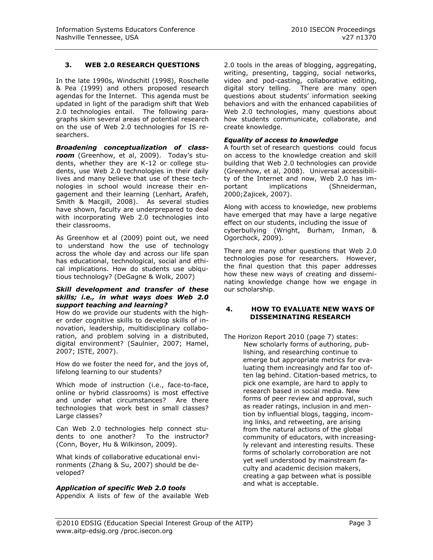#### **3. WEB 2.0 RESEARCH QUESTIONS**

In the late 1990s, Windschitl (1998), Roschelle & Pea (1999) and others proposed research agendas for the Internet. This agenda must be updated in light of the paradigm shift that Web 2.0 technologies entail. The following paragraphs skim several areas of potential research on the use of Web 2.0 technologies for IS researchers.

*Broadening conceptualization of classroom* (Greenhow, et al, 2009). Today's students, whether they are K-12 or college students, use Web 2.0 technologies in their daily lives and many believe that use of these technologies in school would increase their engagement and their learning (Lenhart, Arafeh, Smith & Macgill, 2008). As several studies have shown, faculty are underprepared to deal with incorporating Web 2.0 technologies into their classrooms.

As Greenhow et al (2009) point out, we need to understand how the use of technology across the whole day and across our life span has educational, technological, social and ethical implications. How do students use ubiqutious technology? (DeGagne & Wolk, 2007)

#### *Skill development and transfer of these skills; i.e., in what ways does Web 2.0 support teaching and learning?*

How do we provide our students with the higher order cognitive skills to develop skills of innovation, leadership, multidisciplinary collaboration, and problem solving in a distributed, digital environment? (Saulnier, 2007; Hamel, 2007; ISTE, 2007).

How do we foster the need for, and the joys of, lifelong learning to our students?

Which mode of instruction (i.e., face-to-face, online or hybrid classrooms) is most effective and under what circumstances? Are there technologies that work best in small classes? Large classes?

Can Web 2.0 technologies help connect students to one another? To the instructor? (Conn, Boyer, Hu & Wilkinson, 2009).

What kinds of collaborative educational environments (Zhang & Su, 2007) should be developed?

#### *Application of specific Web 2.0 tools*

Appendix A lists of few of the available Web

2.0 tools in the areas of blogging, aggregating, writing, presenting, tagging, social networks, video and pod-casting, collaborative editing, digital story telling. There are many open questions about students' information seeking behaviors and with the enhanced capabilities of Web 2.0 technologies, many questions about how students communicate, collaborate, and create knowledge.

#### *Equality of access to knowledge*

A fourth set of research questions could focus on access to the knowledge creation and skill building that Web 2.0 technologies can provide (Greenhow, et al, 2008). Universal accessibility of the Internet and now, Web 2.0 has important implications (Shneiderman, 2000;Zajicek, 2007).

Along with access to knowledge, new problems have emerged that may have a large negative effect on our students, including the issue of cyberbullying (Wright, Burham, Inman, & Ogorchock, 2009).

There are many other questions that Web 2.0 technologies pose for researchers. However, the final question that this paper addresses how these new ways of creating and disseminating knowledge change how we engage in our scholarship.

#### **4. HOW TO EVALUATE NEW WAYS OF DISSEMINATING RESEARCH**

The Horizon Report 2010 (page 7) states: New scholarly forms of authoring, publishing, and researching continue to emerge but appropriate metrics for evaluating them increasingly and far too often lag behind. Citation-based metrics, to pick one example, are hard to apply to research based in social media. New forms of peer review and approval, such as reader ratings, inclusion in and mention by influential blogs, tagging, incoming links, and retweeting, are arising from the natural actions of the global community of educators, with increasingly relevant and interesting results. These forms of scholarly corroboration are not yet well understood by mainstream faculty and academic decision makers, creating a gap between what is possible and what is acceptable.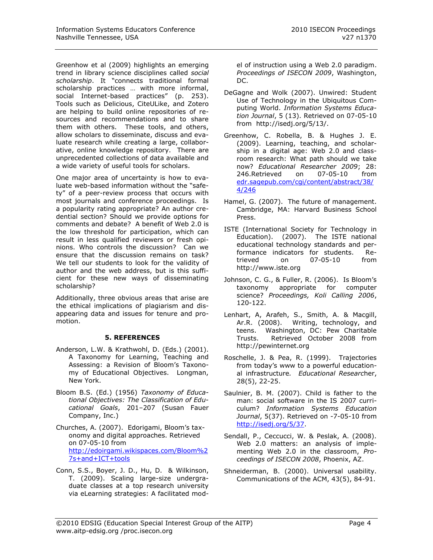Greenhow et al (2009) highlights an emerging trend in library science disciplines called *social scholarship*. It "connects traditional formal scholarship practices … with more informal, social Internet-based practices" (p. 253). Tools such as Delicious, CiteULike, and Zotero are helping to build online repositories of resources and recommendations and to share them with others. These tools, and others, allow scholars to disseminate, discuss and evaluate research while creating a large, collaborative, online knowledge repository. There are unprecedented collections of data available and a wide variety of useful tools for scholars.

One major area of uncertainty is how to evaluate web-based information without the "safety" of a peer-review process that occurs with most journals and conference proceedings. Is a popularity rating appropriate? An author credential section? Should we provide options for comments and debate? A benefit of Web 2.0 is the low threshold for participation, which can result in less qualified reviewers or fresh opinions. Who controls the discussion? Can we ensure that the discussion remains on task? We tell our students to look for the validity of author and the web address, but is this sufficient for these new ways of disseminating scholarship?

Additionally, three obvious areas that arise are the ethical implications of plagiarism and disappearing data and issues for tenure and promotion.

#### **5. REFERENCES**

- Anderson, L.W. & Krathwohl, D. (Eds.) (2001). A Taxonomy for Learning, Teaching and Assessing: a Revision of Bloom's Taxonomy of Educational Objectives. Longman, New York.
- Bloom B.S. (Ed.) (1956) *Taxonomy of Educational Objectives: The Classification of Educational Goals*, 201–207 (Susan Fauer Company, Inc.)
- Churches, A. (2007). Edorigami, Bloom's taxonomy and digital approaches. Retrieved on 07-05-10 from [http://edoirgami.wikispaces.com/Bloom%2](http://edoirgami.wikispaces.com/Bloom%27s+and+ICT+tools) [7s+and+ICT+tools](http://edoirgami.wikispaces.com/Bloom%27s+and+ICT+tools)
- Conn, S.S., Boyer, J. D., Hu, D. & Wilkinson, T. (2009). Scaling large-size undergraduate classes at a top research university via eLearning strategies: A facilitated mod-

el of instruction using a Web 2.0 paradigm. *Proceedings of ISECON 2009*, Washington, DC.

- DeGagne and Wolk (2007). Unwired: Student Use of Technology in the Ubiquitous Computing World. *Information Systems Education Journal*, 5 (13). Retrieved on 07-05-10 from http://isedj.org/5/13/.
- Greenhow, C. Robella, B. & Hughes J. E. (2009). Learning, teaching, and scholarship in a digital age: Web 2.0 and classroom research: What path should we take now? *Educational Researcher 2009*; 28: 246.Retrieved on 07-05-10 from [edr.sagepub.com/cgi/content/abstract/38/](http://edr.sagepub.com/cgi/content/abstract/38/4/246) [4/246](http://edr.sagepub.com/cgi/content/abstract/38/4/246)
- Hamel, G. (2007). The future of management. Cambridge, MA: Harvard Business School Press.
- ISTE (International Society for Technology in Education). (2007). The ISTE national educational technology standards and performance indicators for students. Retrieved on 07-05-10 from http://www.iste.org
- Johnson, C. G., & Fuller, R. (2006). Is Bloom's taxonomy appropriate for computer science? *Proceedings, Koli Calling 2006*, 120-122.
- Lenhart, A, Arafeh, S., Smith, A. & Macgill, Ar.R. (2008). Writing, technology, and teens. Washington, DC: Pew Charitable Trusts. Retrieved October 2008 from http://pewinternet.org
- Roschelle, J. & Pea, R. (1999). Trajectories from today's www to a powerful educational infrastructure*. Educational Researc*her, 28(5), 22-25.
- Saulnier, B. M. (2007). Child is father to the man: social software in the IS 2007 curriculum? *Information Systems Education Journal*, 5(37). Retrieved on -7-05-10 from [http://isedj.org/5/37.](http://isedj.org/5/37)
- Sendall, P., Ceccucci, W. & Peslak, A. (2008). Web 2.0 matters: an analysis of implementing Web 2.0 in the classroom, *Proceedings of ISECON 2008*, Phoenix, AZ.
- Shneiderman, B. (2000). Universal usability. Communications of the ACM, 43(5), 84-91.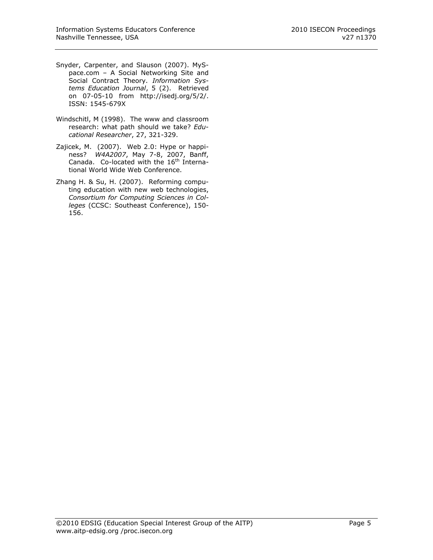- Snyder, Carpenter, and Slauson (2007). MySpace.com – A Social Networking Site and Social Contract Theory. *Information Systems Education Journal*, 5 (2). Retrieved on 07-05-10 from http://isedj.org/5/2/. ISSN: 1545-679X
- Windschitl, M (1998). The www and classroom research: what path should we take? *Educational Researcher*, 27, 321-329.
- Zajicek, M. (2007). Web 2.0: Hype or happiness? *W4A2007*, May 7-8, 2007, Banff, Canada. Co-located with the 16<sup>th</sup> International World Wide Web Conference.
- Zhang H. & Su, H. (2007). Reforming computing education with new web technologies, *Consortium for Computing Sciences in Colleges* (CCSC: Southeast Conference), 150- 156.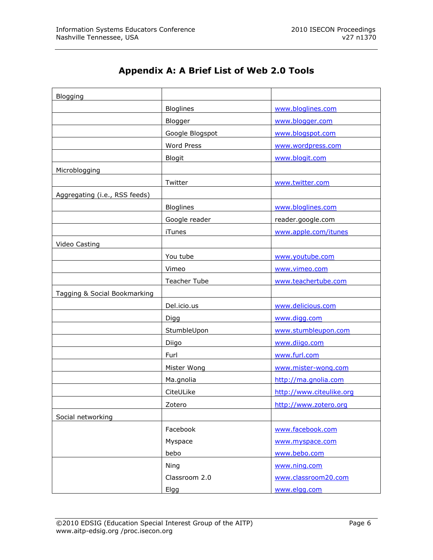## **Appendix A: A Brief List of Web 2.0 Tools**

| Blogging                      |                   |                          |
|-------------------------------|-------------------|--------------------------|
|                               | <b>Bloglines</b>  | www.bloglines.com        |
|                               | Blogger           | www.blogger.com          |
|                               | Google Blogspot   | www.blogspot.com         |
|                               | <b>Word Press</b> | www.wordpress.com        |
|                               | <b>Blogit</b>     | www.blogit.com           |
| Microblogging                 |                   |                          |
|                               | Twitter           | www.twitter.com          |
| Aggregating (i.e., RSS feeds) |                   |                          |
|                               | <b>Bloglines</b>  | www.bloglines.com        |
|                               | Google reader     | reader.google.com        |
|                               | <b>iTunes</b>     | www.apple.com/itunes     |
| Video Casting                 |                   |                          |
|                               | You tube          | www.youtube.com          |
|                               | Vimeo             | www.vimeo.com            |
|                               | Teacher Tube      | www.teachertube.com      |
| Tagging & Social Bookmarking  |                   |                          |
|                               | Del.icio.us       | www.delicious.com        |
|                               | Digg              | www.digg.com             |
|                               | StumbleUpon       | www.stumbleupon.com      |
|                               | Diigo             | www.diigo.com            |
|                               | Furl              | www.furl.com             |
|                               | Mister Wong       | www.mister-wong.com      |
|                               | Ma.gnolia         | http://ma.gnolia.com     |
|                               | CiteULike         | http://www.citeulike.org |
|                               | Zotero            | http://www.zotero.org    |
| Social networking             |                   |                          |
|                               | Facebook          | www.facebook.com         |
|                               | Myspace           | www.myspace.com          |
|                               | bebo              | www.bebo.com             |
|                               | Ning              | www.ning.com             |
|                               | Classroom 2.0     | www.classroom20.com      |
|                               | Elgg              | www.elgg.com             |